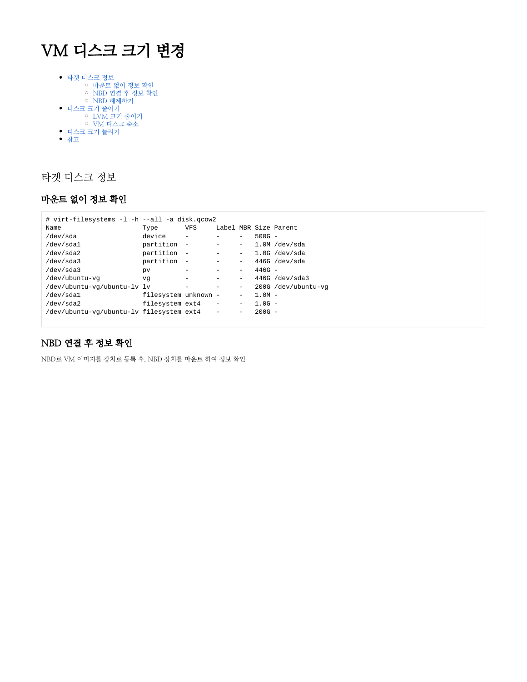# VM 디스크 크기 변경

- [타겟 디스크 정보](#page-0-0)
	- [마운트 없이 정보 확인](#page-0-1)
	- [NBD 연결 후 정보 확인](#page-0-2) ㅇ [NBD 해제하기](#page-1-0)
- [디스크 크기 줄이기](#page-1-1)
	- [LVM 크기 줄이기](#page-1-2)
	- [VM 디스크 축소](#page-2-0)
- [디스크 크기 늘리기](#page-3-0)
- [참고](#page-3-1)

# <span id="page-0-0"></span>타겟 디스크 정보

## <span id="page-0-1"></span>마운트 없이 정보 확인

| # virt-filesystems -1 -h --all -a disk.gcow2 |                      |                          |                          |                          |          |                       |
|----------------------------------------------|----------------------|--------------------------|--------------------------|--------------------------|----------|-----------------------|
| Name                                         | Type                 | <b>VFS</b>               |                          |                          |          | Label MBR Size Parent |
| /dev/sda                                     | device               |                          |                          |                          | $500G -$ |                       |
| /dev/sda1                                    | partition            | $\overline{\phantom{m}}$ |                          | $\overline{\phantom{m}}$ |          | $1.0M$ /dev/sda       |
| /dev/sda2                                    | partition            | $\overline{\phantom{a}}$ |                          | $-$                      |          | $1.0G$ /dev/sda       |
| /dev/sda3                                    | partition            | $\overline{\phantom{m}}$ |                          | $\overline{\phantom{m}}$ |          | $446G$ /dev/sda       |
| /dev/sda3                                    | pv                   |                          |                          |                          | $446G -$ |                       |
| /dev/ubuntu-vq                               | vq                   |                          |                          |                          |          | $446G$ /dev/sda3      |
| /dev/ubuntu-vg/ubuntu-lv lv                  |                      |                          |                          |                          |          | 200G /dev/ubuntu-vq   |
| /dev/sdal                                    | filesystem unknown - |                          |                          | $\qquad \qquad -$        | $1.0M -$ |                       |
| /dev/sda2                                    | filesystem ext4      |                          | $\overline{\phantom{a}}$ | -                        | $1.0G -$ |                       |
| /dev/ubuntu-vq/ubuntu-lv filesystem ext4     |                      |                          |                          | -                        | $200G -$ |                       |
|                                              |                      |                          |                          |                          |          |                       |

# <span id="page-0-2"></span>NBD 연결 후 정보 확인

NBD로 VM 이미지를 장치로 등록 후, NBD 장치를 마운트 하여 정보 확인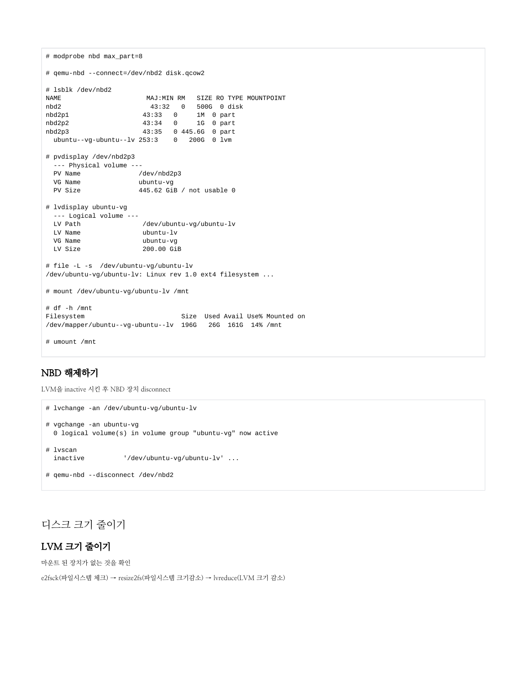```
# modprobe nbd max_part=8
# qemu-nbd --connect=/dev/nbd2 disk.qcow2
# lsblk /dev/nbd2
NAME MAJ:MIN RM SIZE RO TYPE MOUNTPOINT
nbd2 43:32 0 500G 0 disk
                  43:33 0 1M 0 part
nbd2p2 43:34 0 1G 0 part
nbd2p3 43:35 0 445.6G 0 part
 ubuntu--vg-ubuntu--lv 253:3 0 200G 0 lvm
# pvdisplay /dev/nbd2p3
  --- Physical volume ---
 PV Name /dev/nbd2p3
  VG Name ubuntu-vg
  PV Size 445.62 GiB / not usable 0
# lvdisplay ubuntu-vg
  --- Logical volume ---
  LV Path /dev/ubuntu-vg/ubuntu-lv
  LV Name ubuntu-lv
  VG Name ubuntu-vg
 LV Size 200.00 GiB
# file -L -s /dev/ubuntu-vg/ubuntu-lv
/dev/ubuntu-vg/ubuntu-lv: Linux rev 1.0 ext4 filesystem ...
# mount /dev/ubuntu-vg/ubuntu-lv /mnt
# df -h /mnt
Filesystem Size Used Avail Use% Mounted on
/dev/mapper/ubuntu--vg-ubuntu--lv 196G 26G 161G 14% /mnt
# umount /mnt
```
## <span id="page-1-0"></span>NBD 해제하기

LVM을 inactive 시킨 후 NBD 장치 disconnect

```
# lvchange -an /dev/ubuntu-vg/ubuntu-lv
# vgchange -an ubuntu-vg
  0 logical volume(s) in volume group "ubuntu-vg" now active
# lvscan
  inactive '/dev/ubuntu-vg/ubuntu-lv' ...
# qemu-nbd --disconnect /dev/nbd2
```
# <span id="page-1-1"></span>디스크 크기 줄이기

## <span id="page-1-2"></span>LVM 크기 줄이기

마운트 된 장치가 없는 것을 확인

e2fsck(파일시스템 체크) → resize2fs(파일시스템 크기감소) → lvreduce(LVM 크기 감소)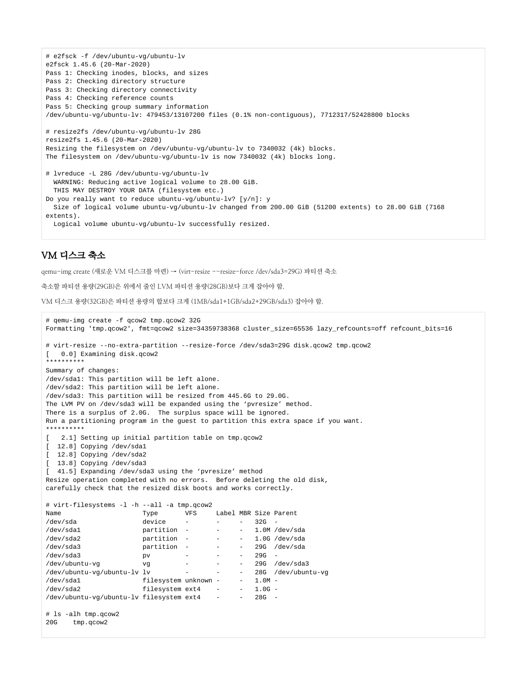```
# e2fsck -f /dev/ubuntu-vg/ubuntu-lv
e2fsck 1.45.6 (20-Mar-2020)
Pass 1: Checking inodes, blocks, and sizes
Pass 2: Checking directory structure
Pass 3: Checking directory connectivity
Pass 4: Checking reference counts
Pass 5: Checking group summary information
/dev/ubuntu-vg/ubuntu-lv: 479453/13107200 files (0.1% non-contiguous), 7712317/52428800 blocks
# resize2fs /dev/ubuntu-vg/ubuntu-lv 28G
resize2fs 1.45.6 (20-Mar-2020)
Resizing the filesystem on /dev/ubuntu-vg/ubuntu-lv to 7340032 (4k) blocks.
The filesystem on /dev/ubuntu-vg/ubuntu-lv is now 7340032 (4k) blocks long.
# lvreduce -L 28G /dev/ubuntu-vg/ubuntu-lv
   WARNING: Reducing active logical volume to 28.00 GiB.
  THIS MAY DESTROY YOUR DATA (filesystem etc.)
Do you really want to reduce ubuntu-vg/ubuntu-lv? [y/n]: y
  Size of logical volume ubuntu-vg/ubuntu-lv changed from 200.00 GiB (51200 extents) to 28.00 GiB (7168 
extents).
  Logical volume ubuntu-vg/ubuntu-lv successfully resized.
```
#### <span id="page-2-0"></span>VM 디스크 축소

qemu-img create (새로운 VM 디스크를 마련) → (virt-resize --resize-force /dev/sda3=29G) 파티션 축소

축소할 파티션 용량(29GB)은 위에서 줄인 LVM 파티션 용량(28GB)보다 크게 잡아야 함.

VM 디스크 용량(32GB)은 파티션 용량의 합보다 크게 (1MB/sda1+1GB/sda2+29GB/sda3) 잡아야 함.

```
# qemu-img create -f qcow2 tmp.qcow2 32G
Formatting 'tmp.qcow2', fmt=qcow2 size=34359738368 cluster_size=65536 lazy_refcounts=off refcount_bits=16
# virt-resize --no-extra-partition --resize-force /dev/sda3=29G disk.qcow2 tmp.qcow2
[ 0.0] Examining disk.qcow2
**********
Summary of changes:
/dev/sda1: This partition will be left alone.
/dev/sda2: This partition will be left alone.
/dev/sda3: This partition will be resized from 445.6G to 29.0G.
The LVM PV on /dev/sda3 will be expanded using the 'pvresize' method.
There is a surplus of 2.0G. The surplus space will be ignored. 
Run a partitioning program in the guest to partition this extra space if you want.
**********
[ 2.1] Setting up initial partition table on tmp.qcow2
[ 12.8] Copying /dev/sda1
  [ 12.8] Copying /dev/sda2
 [ 13.8] Copying /dev/sda3
[ 41.5] Expanding /dev/sda3 using the 'pvresize' method
Resize operation completed with no errors. Before deleting the old disk,
carefully check that the resized disk boots and works correctly.
# virt-filesystems -l -h --all -a tmp.qcow2
Name Type VFS Label MBR Size Parent
/dev/sda device - - - 32G -
/dev/sda1 partition - - - 1.0M /dev/sda
/dev/sda2   partition - - - 1.0G /dev/sda
/dev/sda3 partition - - - 29G /dev/sda
/dev/sda3 pv - - - 29G -
/dev/ubuntu-vg vg - - - 29G /dev/sda3
/dev/ubuntu-vg/ubuntu-lv lv - - - -
/dev/sda1 filesystem unknown - - 1.0M -
/dev/sda2 filesystem ext4 - - 1.0G -
/dev/ubuntu-vg/ubuntu-lv filesystem ext4 - - 28G -
# ls -alh tmp.qcow2
20G tmp.qcow2
```